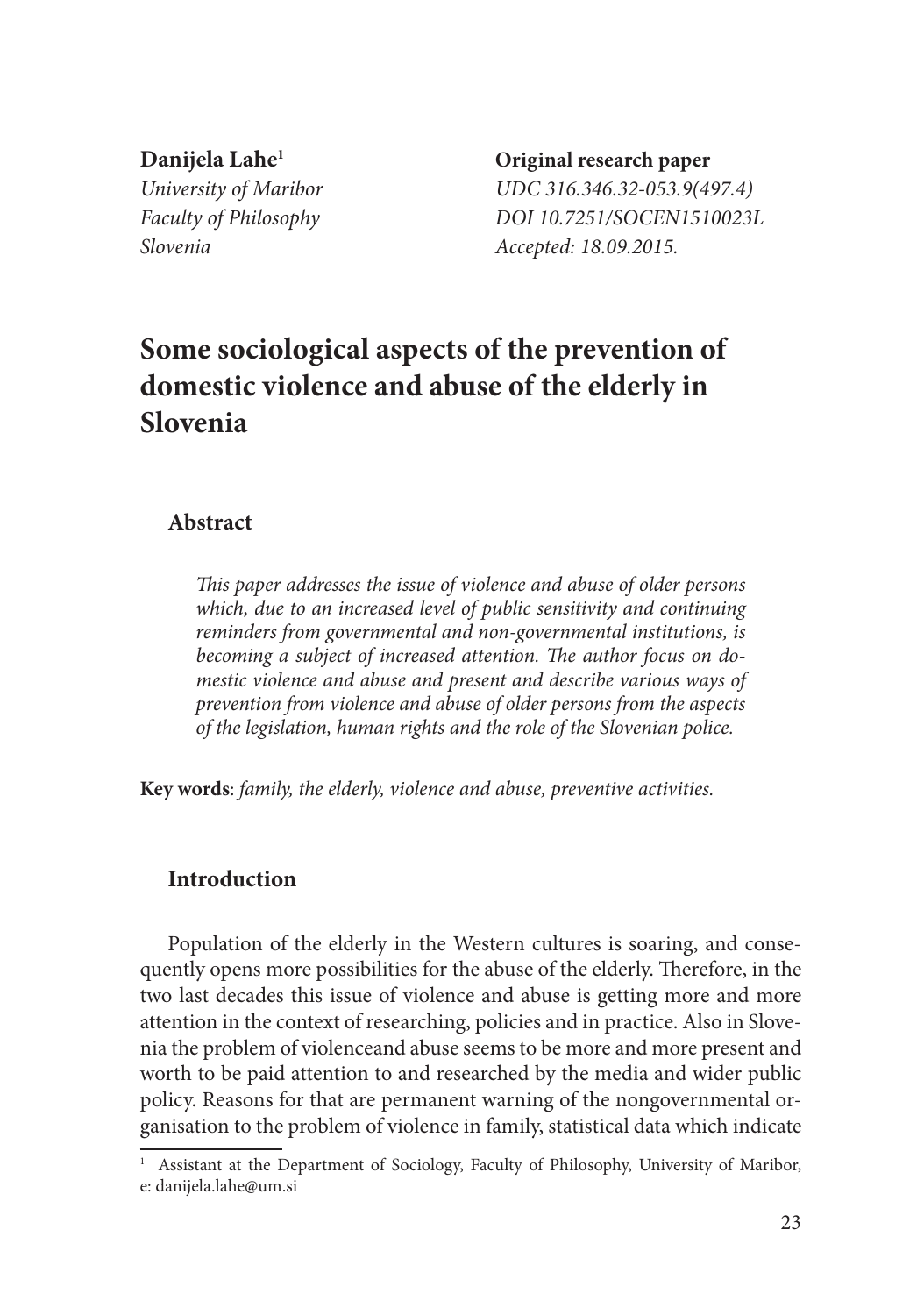**Danijela Lahe<sup>1</sup> Original research paper** *Slovenia Accepted: 18.09.2015.*

*University of Maribor UDC 316.346.32-053.9(497.4) Faculty of Philosophy DOI 10.7251/SOCEN1510023L*

# **Some sociological aspects of the prevention of domestic violence and abuse of the elderly in Slovenia**

## **Abstract**

*This paper addresses the issue of violence and abuse of older persons which, due to an increased level of public sensitivity and continuing reminders from governmental and non-governmental institutions, is becoming a subject of increased attention. The author focus on domestic violence and abuse and present and describe various ways of prevention from violence and abuse of older persons from the aspects of the legislation, human rights and the role of the Slovenian police.* 

**Key words**: *family, the elderly, violence and abuse, preventive activities.*

## **Introduction**

Population of the elderly in the Western cultures is soaring, and consequently opens more possibilities for the abuse of the elderly. Therefore, in the two last decades this issue of violence and abuse is getting more and more attention in the context of researching, policies and in practice. Also in Slovenia the problem of violenceand abuse seems to be more and more present and worth to be paid attention to and researched by the media and wider public policy. Reasons for that are permanent warning of the nongovernmental organisation to the problem of violence in family, statistical data which indicate

<sup>&</sup>lt;sup>1</sup> Assistant at the Department of Sociology, Faculty of Philosophy, University of Maribor, e: danijela.lahe@um.si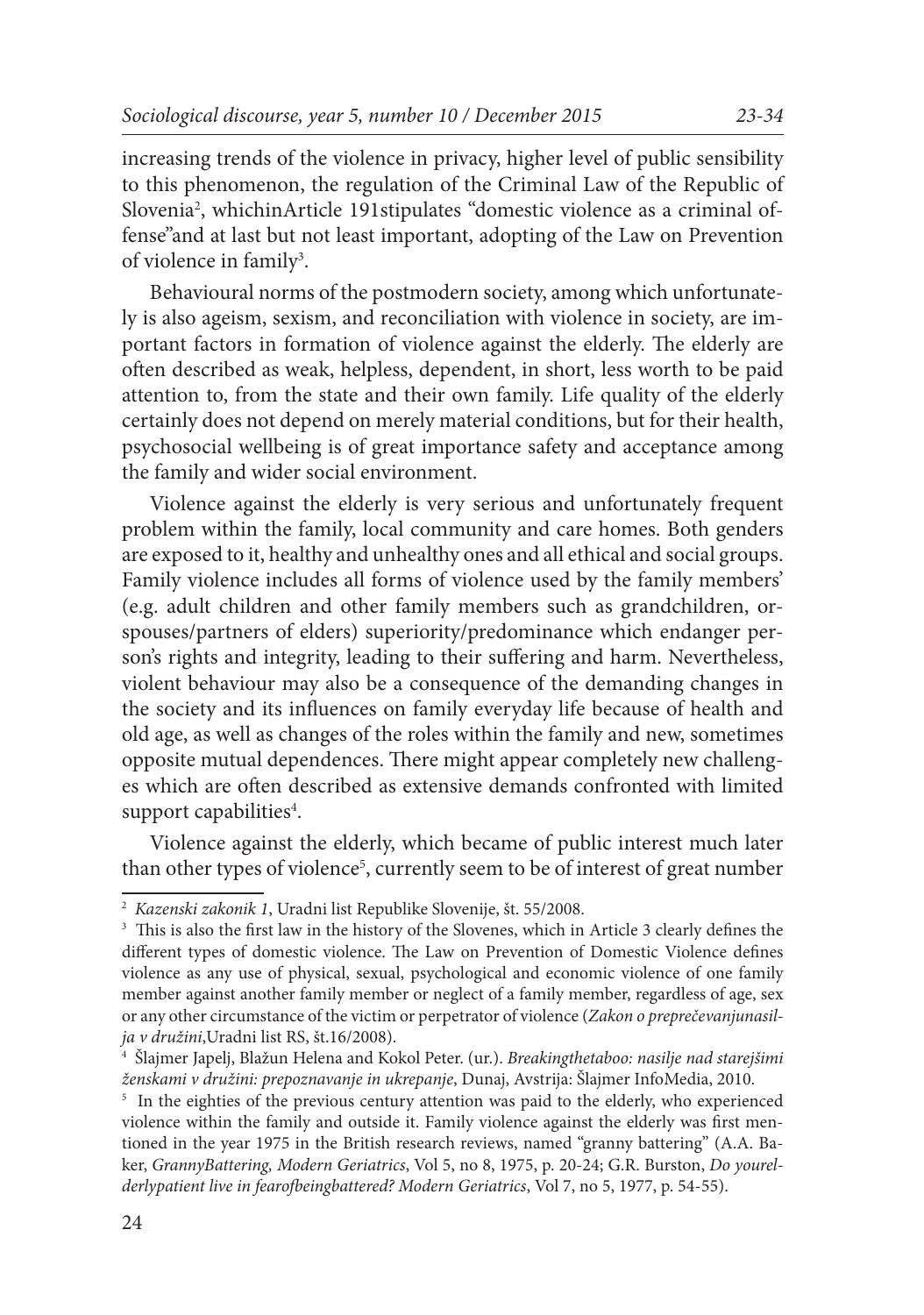increasing trends of the violence in privacy, higher level of public sensibility to this phenomenon, the regulation of the Criminal Law of the Republic of Slovenia2 , whichinArticle 191stipulates "domestic violence as a criminal offense"and at last but not least important, adopting of the Law on Prevention of violence in family<sup>3</sup>.

Behavioural norms of the postmodern society, among which unfortunately is also ageism, sexism, and reconciliation with violence in society, are important factors in formation of violence against the elderly. The elderly are often described as weak, helpless, dependent, in short, less worth to be paid attention to, from the state and their own family. Life quality of the elderly certainly does not depend on merely material conditions, but for their health, psychosocial wellbeing is of great importance safety and acceptance among the family and wider social environment.

Violence against the elderly is very serious and unfortunately frequent problem within the family, local community and care homes. Both genders are exposed to it, healthy and unhealthy ones and all ethical and social groups. Family violence includes all forms of violence used by the family members' (e.g. adult children and other family members such as grandchildren, orspouses/partners of elders) superiority/predominance which endanger person's rights and integrity, leading to their suffering and harm. Nevertheless, violent behaviour may also be a consequence of the demanding changes in the society and its influences on family everyday life because of health and old age, as well as changes of the roles within the family and new, sometimes opposite mutual dependences. There might appear completely new challenges which are often described as extensive demands confronted with limited support capabilities<sup>4</sup>.

Violence against the elderly, which became of public interest much later than other types of violence<sup>5</sup>, currently seem to be of interest of great number

<sup>2</sup>  *Kazenski zakonik 1*, Uradni list Republike Slovenije, št. 55/2008.

<sup>&</sup>lt;sup>3</sup> This is also the first law in the history of the Slovenes, which in Article 3 clearly defines the different types of domestic violence. The Law on Prevention of Domestic Violence defines violence as any use of physical, sexual, psychological and economic violence of one family member against another family member or neglect of a family member, regardless of age, sex or any other circumstance of the victim or perpetrator of violence (*Zakon o preprečevanjunasilja v družini*,Uradni list RS, št.16/2008).

<sup>4</sup> Šlajmer Japelj, Blažun Helena and Kokol Peter. (ur.). *Breakingthetaboo: nasilje nad starejšimi ženskami v družini: prepoznavanje in ukrepanje*, Dunaj, Avstrija: Šlajmer InfoMedia, 2010.

<sup>&</sup>lt;sup>5</sup> In the eighties of the previous century attention was paid to the elderly, who experienced violence within the family and outside it. Family violence against the elderly was first mentioned in the year 1975 in the British research reviews, named "granny battering" (A.A. Baker, *GrannyBattering, Modern Geriatrics*, Vol 5, no 8, 1975, p. 20-24; G.R. Burston, *Do yourelderlypatient live in fearofbeingbattered? Modern Geriatrics*, Vol 7, no 5, 1977, p. 54-55).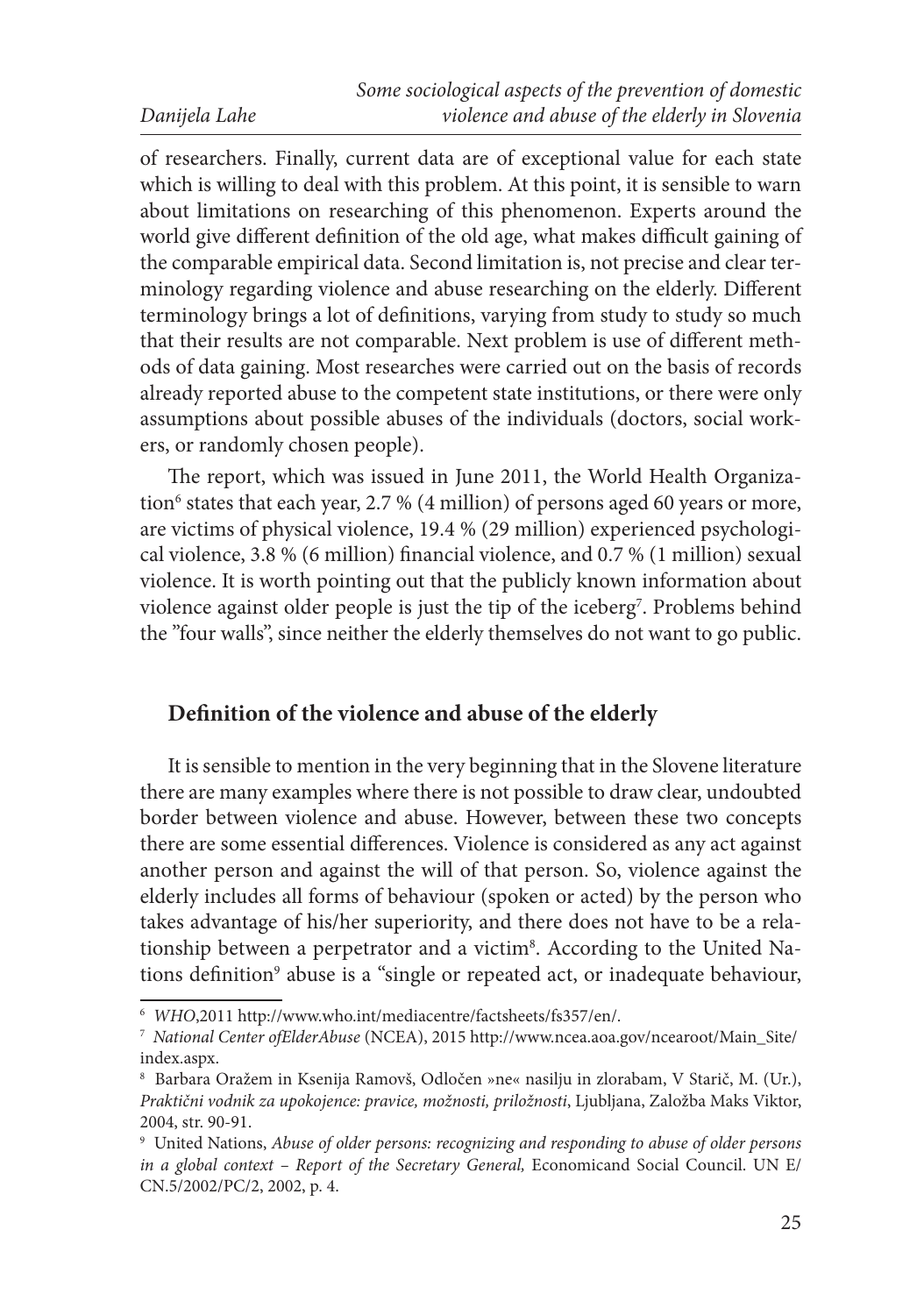of researchers. Finally, current data are of exceptional value for each state which is willing to deal with this problem. At this point, it is sensible to warn about limitations on researching of this phenomenon. Experts around the world give different definition of the old age, what makes difficult gaining of the comparable empirical data. Second limitation is, not precise and clear terminology regarding violence and abuse researching on the elderly. Different terminology brings a lot of definitions, varying from study to study so much that their results are not comparable. Next problem is use of different methods of data gaining. Most researches were carried out on the basis of records already reported abuse to the competent state institutions, or there were only assumptions about possible abuses of the individuals (doctors, social workers, or randomly chosen people).

The report, which was issued in June 2011, the World Health Organization<sup>6</sup> states that each year, 2.7 % (4 million) of persons aged 60 years or more, are victims of physical violence, 19.4 % (29 million) experienced psychological violence, 3.8 % (6 million) financial violence, and 0.7 % (1 million) sexual violence. It is worth pointing out that the publicly known information about violence against older people is just the tip of the iceberg<sup>7</sup>. Problems behind the "four walls", since neither the elderly themselves do not want to go public.

# **Definition of the violence and abuse of the elderly**

It is sensible to mention in the very beginning that in the Slovene literature there are many examples where there is not possible to draw clear, undoubted border between violence and abuse. However, between these two concepts there are some essential differences. Violence is considered as any act against another person and against the will of that person. So, violence against the elderly includes all forms of behaviour (spoken or acted) by the person who takes advantage of his/her superiority, and there does not have to be a relationship between a perpetrator and a victim<sup>8</sup>. According to the United Nations definition<sup>9</sup> abuse is a "single or repeated act, or inadequate behaviour,

<sup>6</sup>  *WHO*,2011 http://www.who.int/mediacentre/factsheets/fs357/en/.

<sup>7</sup>  *National Center ofElderAbuse* (NCEA), 2015 http://www.ncea.aoa.gov/ncearoot/Main\_Site/ index.aspx.

<sup>8</sup> Barbara Oražem in Ksenija Ramovš, Odločen »ne« nasilju in zlorabam, V Starič, M. (Ur.), *Praktični vodnik za upokojence: pravice, možnosti, priložnosti*, Ljubljana, Založba Maks Viktor, 2004, str. 90-91.

<sup>9</sup> United Nations, *Abuse of older persons: recognizing and responding to abuse of older persons in a global context - Report of the Secretary General, Economicand Social Council. UN E/* CN.5/2002/PC/2, 2002, p. 4.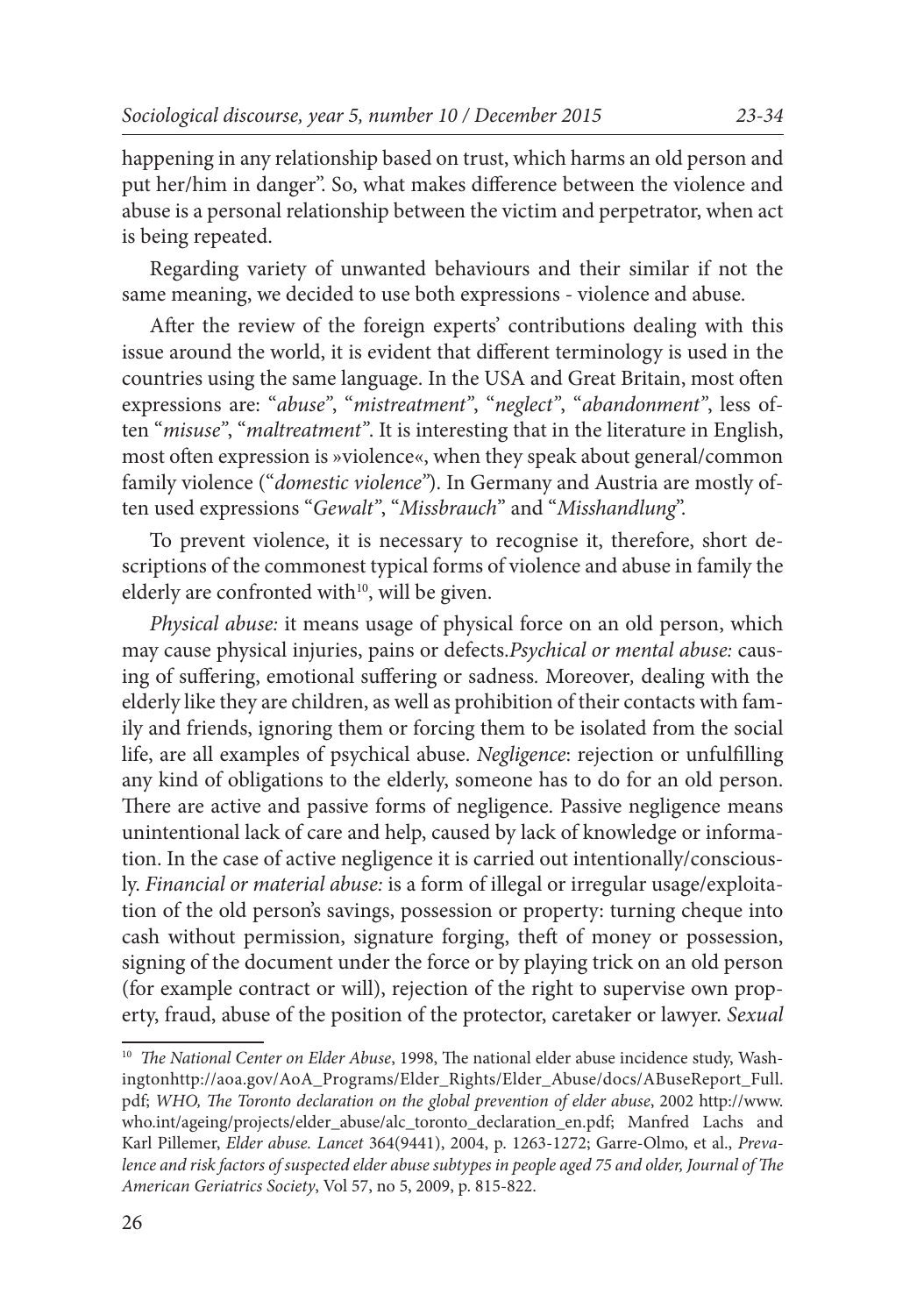happening in any relationship based on trust, which harms an old person and put her/him in danger". So, what makes difference between the violence and abuse is a personal relationship between the victim and perpetrator, when act is being repeated.

Regarding variety of unwanted behaviours and their similar if not the same meaning, we decided to use both expressions - violence and abuse.

After the review of the foreign experts' contributions dealing with this issue around the world, it is evident that different terminology is used in the countries using the same language. In the USA and Great Britain, most often expressions are: "*abuse"*, "*mistreatment"*, "*neglect"*, "*abandonment"*, less often "*misuse"*, "*maltreatment"*. It is interesting that in the literature in English, most often expression is »violence«, when they speak about general/common family violence ("*domestic violence"*). In Germany and Austria are mostly often used expressions "*Gewalt"*, "*Missbrauch*" and "*Misshandlung*".

To prevent violence, it is necessary to recognise it, therefore, short descriptions of the commonest typical forms of violence and abuse in family the elderly are confronted with<sup>10</sup>, will be given.

*Physical abuse:* it means usage of physical force on an old person, which may cause physical injuries, pains or defects.*Psychical or mental abuse:* causing of suffering, emotional suffering or sadness*.* Moreover*,* dealing with the elderly like they are children, as well as prohibition of their contacts with family and friends, ignoring them or forcing them to be isolated from the social life, are all examples of psychical abuse. *Negligence*: rejection or unfulfilling any kind of obligations to the elderly, someone has to do for an old person. There are active and passive forms of negligence. Passive negligence means unintentional lack of care and help, caused by lack of knowledge or information. In the case of active negligence it is carried out intentionally/consciously. *Financial or material abuse:* is a form of illegal or irregular usage/exploitation of the old person's savings, possession or property: turning cheque into cash without permission, signature forging, theft of money or possession, signing of the document under the force or by playing trick on an old person (for example contract or will), rejection of the right to supervise own property, fraud, abuse of the position of the protector, caretaker or lawyer. *Sexual* 

<sup>10</sup> *The National Center on Elder Abuse*, 1998, The national elder abuse incidence study, Washingtonhttp://aoa.gov/AoA\_Programs/Elder\_Rights/Elder\_Abuse/docs/ABuseReport\_Full. pdf; *WHO, The Toronto declaration on the global prevention of elder abuse*, 2002 http://www. who.int/ageing/projects/elder\_abuse/alc\_toronto\_declaration\_en.pdf; Manfred Lachs and Karl Pillemer, *Elder abuse. Lancet* 364(9441), 2004, p. 1263-1272; Garre-Olmo, et al., *Prevalence and risk factors of suspected elder abuse subtypes in people aged 75 and older, Journal of The American Geriatrics Society*, Vol 57, no 5, 2009, p. 815-822.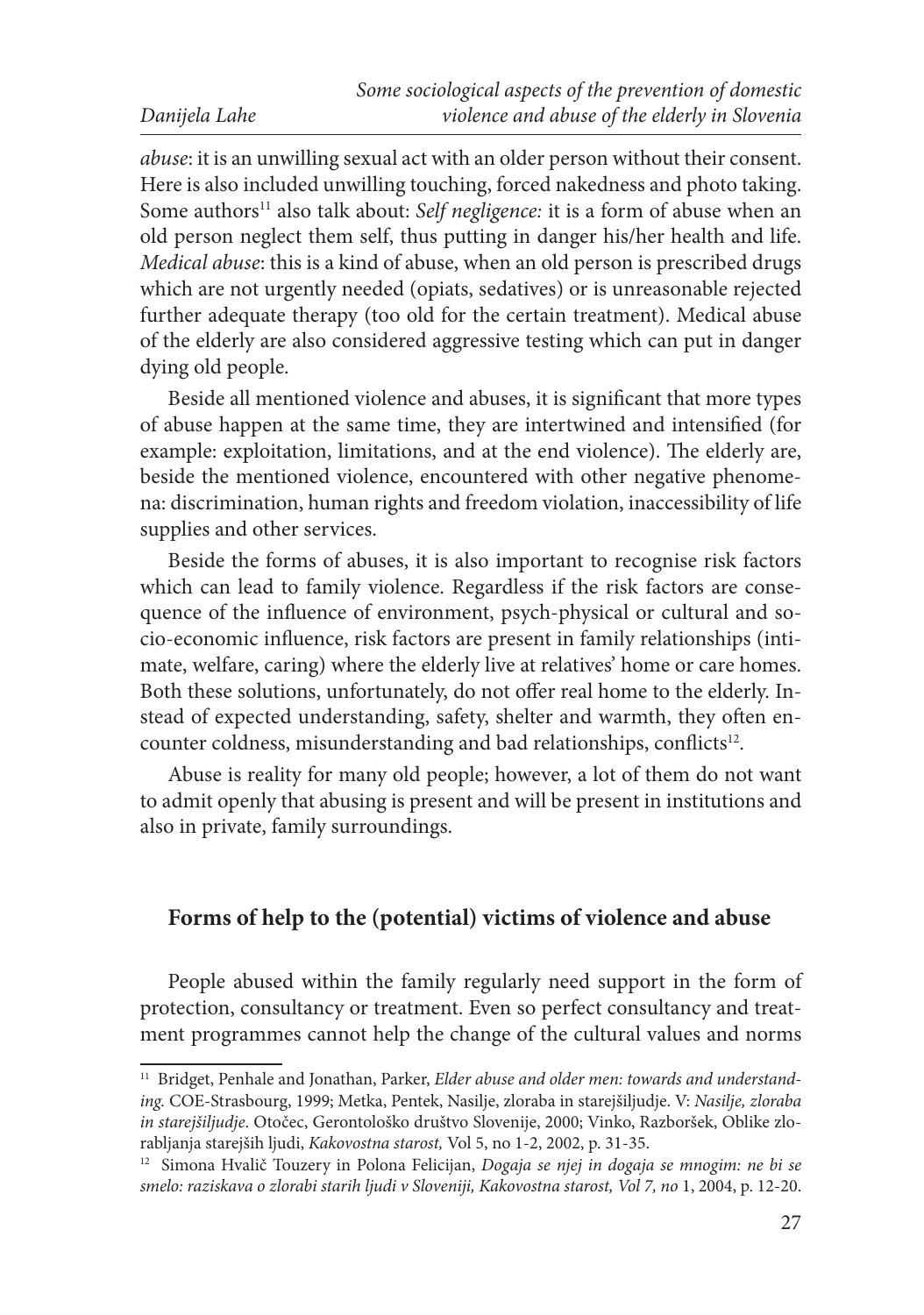*abuse*: it is an unwilling sexual act with an older person without their consent. Here is also included unwilling touching, forced nakedness and photo taking. Some authors<sup>11</sup> also talk about: *Self negligence*: it is a form of abuse when an old person neglect them self, thus putting in danger his/her health and life. *Medical abuse*: this is a kind of abuse, when an old person is prescribed drugs which are not urgently needed (opiats, sedatives) or is unreasonable rejected further adequate therapy (too old for the certain treatment). Medical abuse of the elderly are also considered aggressive testing which can put in danger dying old people.

Beside all mentioned violence and abuses, it is significant that more types of abuse happen at the same time, they are intertwined and intensified (for example: exploitation, limitations, and at the end violence). The elderly are, beside the mentioned violence, encountered with other negative phenomena: discrimination, human rights and freedom violation, inaccessibility of life supplies and other services.

Beside the forms of abuses, it is also important to recognise risk factors which can lead to family violence. Regardless if the risk factors are consequence of the influence of environment, psych-physical or cultural and socio-economic influence, risk factors are present in family relationships (intimate, welfare, caring) where the elderly live at relatives' home or care homes. Both these solutions, unfortunately, do not offer real home to the elderly. Instead of expected understanding, safety, shelter and warmth, they often encounter coldness, misunderstanding and bad relationships, conflicts<sup>12</sup>.

Abuse is reality for many old people; however, a lot of them do not want to admit openly that abusing is present and will be present in institutions and also in private, family surroundings.

# **Forms of help to the (potential) victims of violence and abuse**

People abused within the family regularly need support in the form of protection, consultancy or treatment. Even so perfect consultancy and treatment programmes cannot help the change of the cultural values and norms

<sup>&</sup>lt;sup>11</sup> Bridget, Penhale and Jonathan, Parker, *Elder abuse and older men: towards and understanding.* COE-Strasbourg, 1999; Metka, Pentek, Nasilje, zloraba in starejšiljudje. V: *Nasilje, zloraba in starejšiljudje*. Otočec, Gerontološko društvo Slovenije, 2000; Vinko, Razboršek, Oblike zlorabljanja starejših ljudi, *Kakovostna starost,* Vol 5, no 1-2, 2002, p. 31-35.

<sup>12</sup> Simona Hvalič Touzery in Polona Felicijan, *Dogaja se njej in dogaja se mnogim: ne bi se smelo: raziskava o zlorabi starih ljudi v Sloveniji, Kakovostna starost, Vol 7, no* 1, 2004, p. 12-20.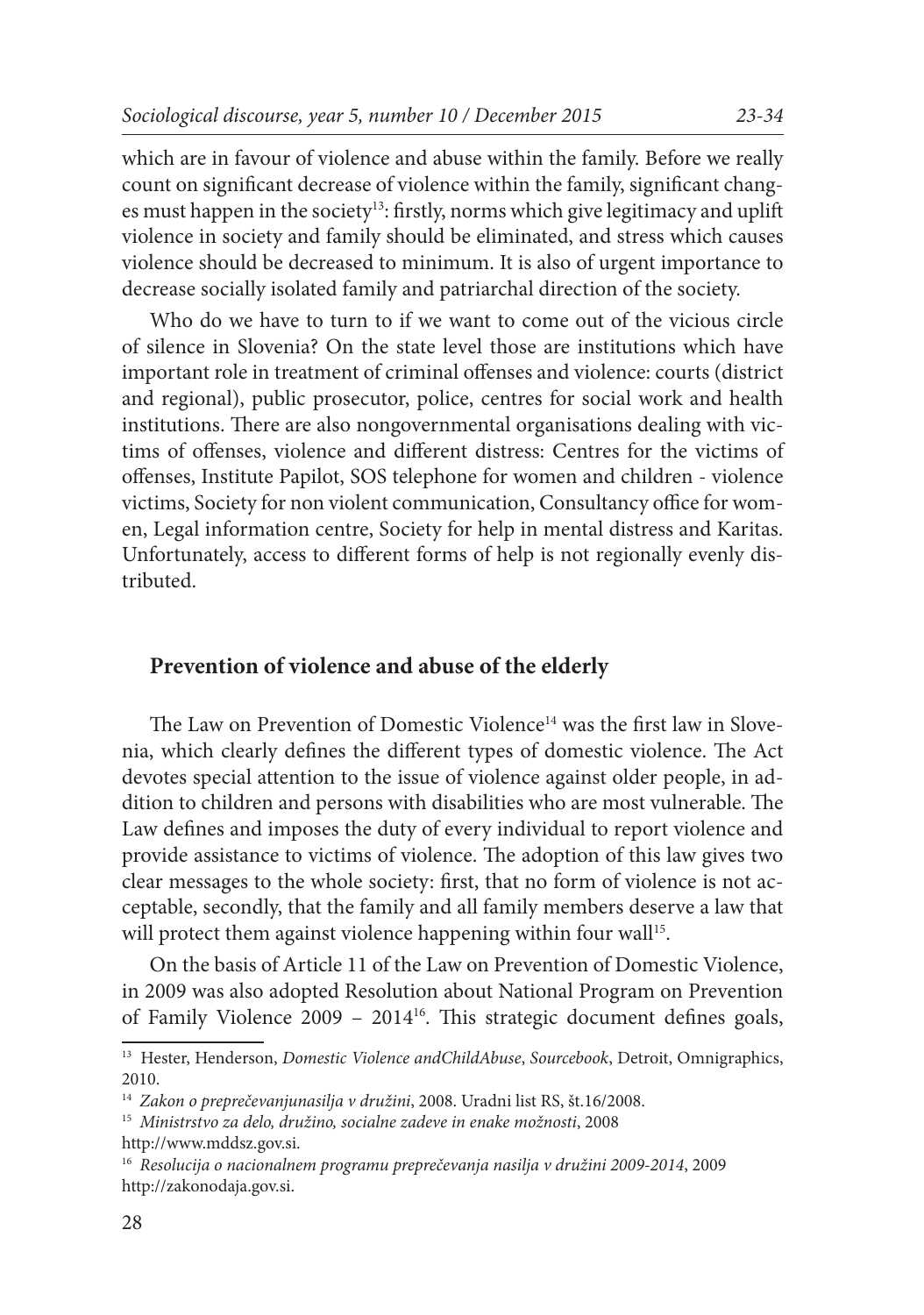which are in favour of violence and abuse within the family. Before we really count on significant decrease of violence within the family, significant changes must happen in the society<sup>13</sup>: firstly, norms which give legitimacy and uplift violence in society and family should be eliminated, and stress which causes violence should be decreased to minimum. It is also of urgent importance to decrease socially isolated family and patriarchal direction of the society.

Who do we have to turn to if we want to come out of the vicious circle of silence in Slovenia? On the state level those are institutions which have important role in treatment of criminal offenses and violence: courts (district and regional), public prosecutor, police, centres for social work and health institutions. There are also nongovernmental organisations dealing with victims of offenses, violence and different distress: Centres for the victims of offenses, Institute Papilot, SOS telephone for women and children - violence victims, Society for non violent communication, Consultancy office for women, Legal information centre, Society for help in mental distress and Karitas. Unfortunately, access to different forms of help is not regionally evenly distributed.

# **Prevention of violence and abuse of the elderly**

The Law on Prevention of Domestic Violence<sup>14</sup> was the first law in Slovenia, which clearly defines the different types of domestic violence. The Act devotes special attention to the issue of violence against older people, in addition to children and persons with disabilities who are most vulnerable. The Law defines and imposes the duty of every individual to report violence and provide assistance to victims of violence. The adoption of this law gives two clear messages to the whole society: first, that no form of violence is not acceptable, secondly, that the family and all family members deserve a law that will protect them against violence happening within four wall<sup>15</sup>.

On the basis of Article 11 of the Law on Prevention of Domestic Violence, in 2009 was also adopted Resolution about National Program on Prevention of Family Violence 2009 – 201416. This strategic document defines goals,

<sup>13</sup> Hester, Henderson, *Domestic Violence andChildAbuse*, *Sourcebook*, Detroit, Omnigraphics, 2010.

<sup>14</sup> *Zakon o preprečevanjunasilja v družini*, 2008. Uradni list RS, št.16/2008.

<sup>15</sup> *Ministrstvo za delo, družino, socialne zadeve in enake možnosti*, 2008 http://www.mddsz.gov.si.

<sup>16</sup> *Resolucija o nacionalnem programu preprečevanja nasilja v družini 2009-2014*, 2009 http://zakonodaja.gov.si.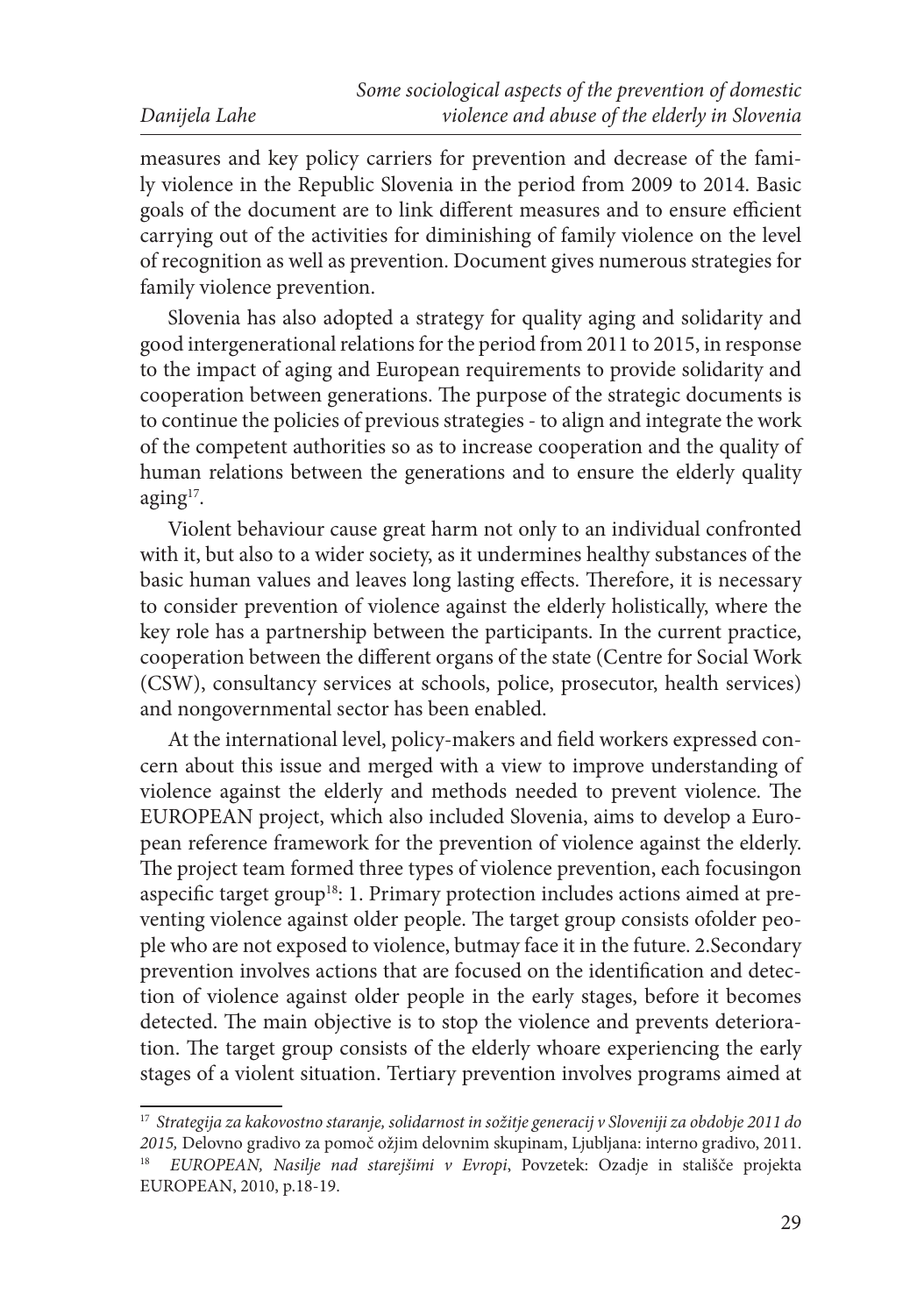measures and key policy carriers for prevention and decrease of the family violence in the Republic Slovenia in the period from 2009 to 2014. Basic goals of the document are to link different measures and to ensure efficient carrying out of the activities for diminishing of family violence on the level of recognition as well as prevention. Document gives numerous strategies for family violence prevention.

Slovenia has also adopted a strategy for quality aging and solidarity and good intergenerational relations for the period from 2011 to 2015, in response to the impact of aging and European requirements to provide solidarity and cooperation between generations. The purpose of the strategic documents is to continue the policies of previous strategies - to align and integrate the work of the competent authorities so as to increase cooperation and the quality of human relations between the generations and to ensure the elderly quality aging<sup>17</sup>.

Violent behaviour cause great harm not only to an individual confronted with it, but also to a wider society, as it undermines healthy substances of the basic human values and leaves long lasting effects. Therefore, it is necessary to consider prevention of violence against the elderly holistically, where the key role has a partnership between the participants. In the current practice, cooperation between the different organs of the state (Centre for Social Work (CSW), consultancy services at schools, police, prosecutor, health services) and nongovernmental sector has been enabled.

At the international level, policy-makers and field workers expressed concern about this issue and merged with a view to improve understanding of violence against the elderly and methods needed to prevent violence. The EUROPEAN project, which also included Slovenia, aims to develop a European reference framework for the prevention of violence against the elderly. The project team formed three types of violence prevention, each focusingon aspecific target group<sup>18</sup>: 1. Primary protection includes actions aimed at preventing violence against older people. The target group consists ofolder people who are not exposed to violence, butmay face it in the future. 2.Secondary prevention involves actions that are focused on the identification and detection of violence against older people in the early stages, before it becomes detected. The main objective is to stop the violence and prevents deterioration. The target group consists of the elderly whoare experiencing the early stages of a violent situation. Tertiary prevention involves programs aimed at

<sup>17</sup> *Strategija za kakovostno staranje, solidarnost in sožitje generacij v Sloveniji za obdobje 2011 do 2015,* Delovno gradivo za pomoč ožjim delovnim skupinam, Ljubljana: interno gradivo, 2011.

<sup>18</sup> *EUROPEAN, Nasilje nad starejšimi v Evropi*, Povzetek: Ozadje in stališče projekta EUROPEAN, 2010, p.18-19.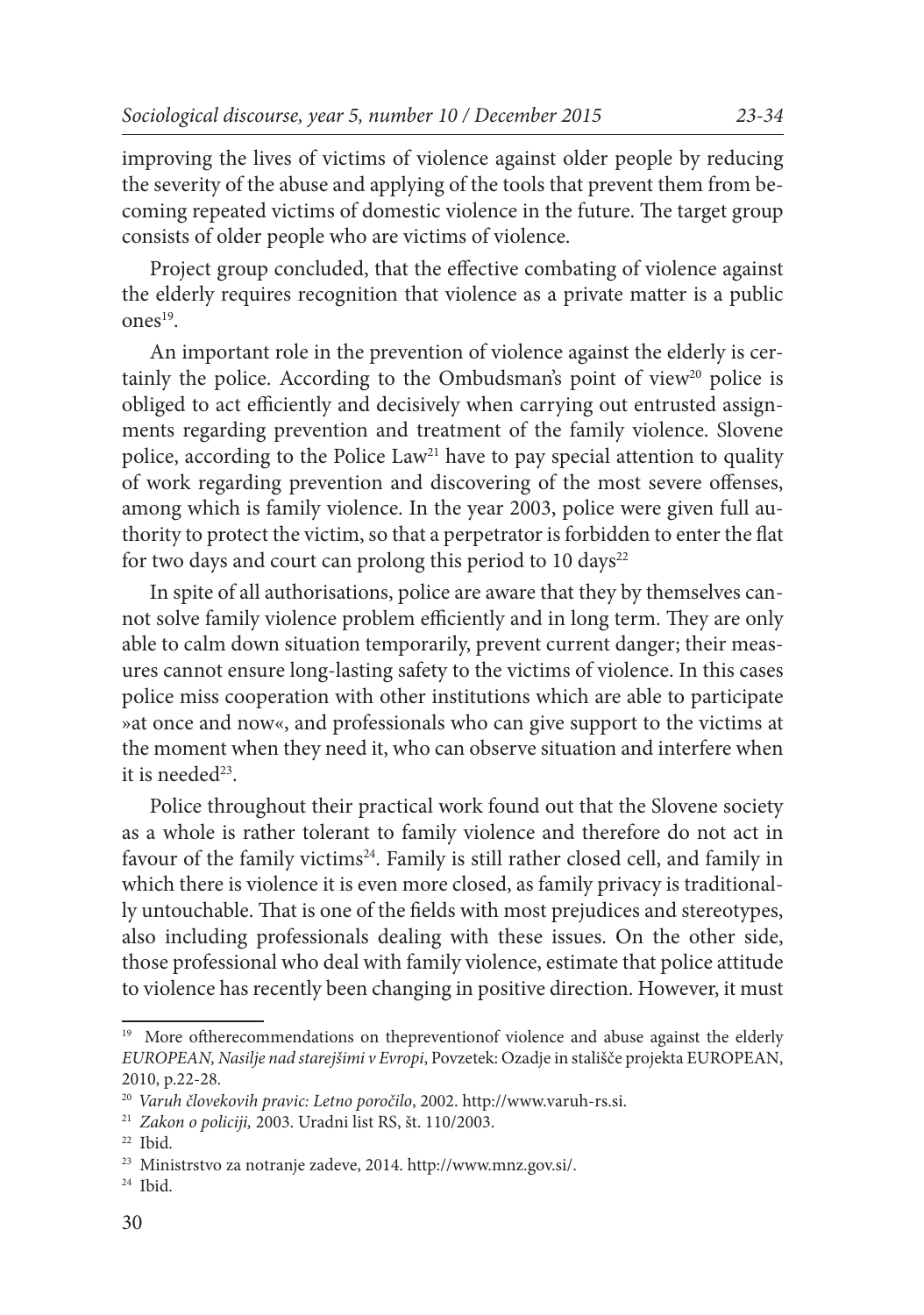improving the lives of victims of violence against older people by reducing the severity of the abuse and applying of the tools that prevent them from becoming repeated victims of domestic violence in the future. The target group consists of older people who are victims of violence.

Project group concluded, that the effective combating of violence against the elderly requires recognition that violence as a private matter is a public  $ones<sup>19</sup>$ 

An important role in the prevention of violence against the elderly is certainly the police. According to the Ombudsman's point of view<sup>20</sup> police is obliged to act efficiently and decisively when carrying out entrusted assignments regarding prevention and treatment of the family violence. Slovene police, according to the Police Law<sup>21</sup> have to pay special attention to quality of work regarding prevention and discovering of the most severe offenses, among which is family violence. In the year 2003, police were given full authority to protect the victim, so that a perpetrator is forbidden to enter the flat for two days and court can prolong this period to 10 days $^{22}$ 

In spite of all authorisations, police are aware that they by themselves cannot solve family violence problem efficiently and in long term. They are only able to calm down situation temporarily, prevent current danger; their measures cannot ensure long-lasting safety to the victims of violence. In this cases police miss cooperation with other institutions which are able to participate »at once and now«, and professionals who can give support to the victims at the moment when they need it, who can observe situation and interfere when it is needed $23$ .

Police throughout their practical work found out that the Slovene society as a whole is rather tolerant to family violence and therefore do not act in favour of the family victims<sup>24</sup>. Family is still rather closed cell, and family in which there is violence it is even more closed, as family privacy is traditionally untouchable. That is one of the fields with most prejudices and stereotypes, also including professionals dealing with these issues. On the other side, those professional who deal with family violence, estimate that police attitude to violence has recently been changing in positive direction. However, it must

<sup>&</sup>lt;sup>19</sup> More oftherecommendations on thepreventionof violence and abuse against the elderly *EUROPEAN, Nasilje nad starejšimi v Evropi*, Povzetek: Ozadje in stališče projekta EUROPEAN, 2010, p.22-28.

<sup>20</sup> *Varuh človekovih pravic: Letno poročilo*, 2002. http://www.varuh-rs.si.

<sup>21</sup> *Zakon o policiji,* 2003. Uradni list RS, št. 110/2003.

<sup>22</sup> Ibid.

<sup>23</sup> Ministrstvo za notranje zadeve, 2014. http://www.mnz.gov.si/.

<sup>24</sup> Ibid.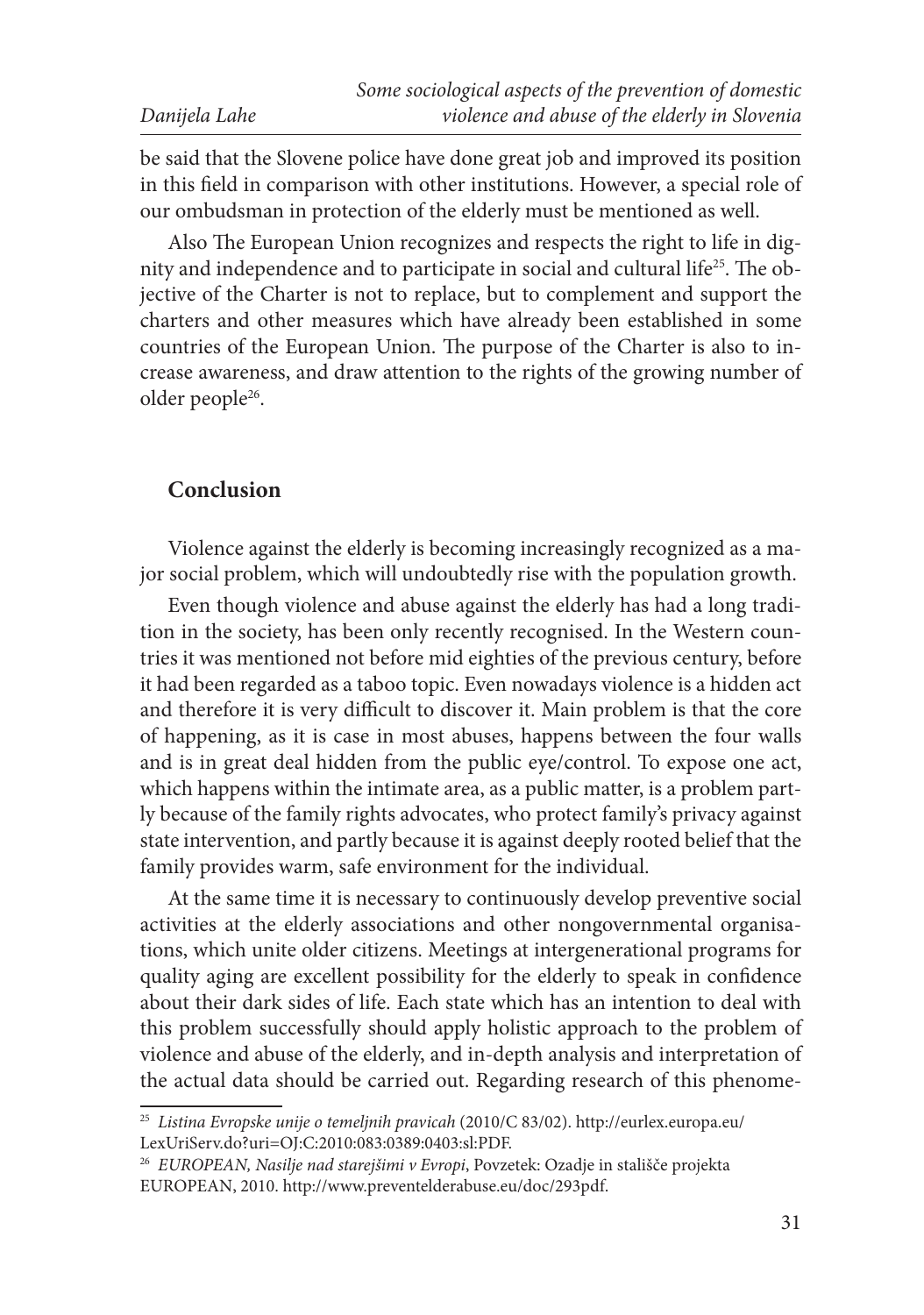|               | Some sociological aspects of the prevention of domestic |
|---------------|---------------------------------------------------------|
| Danijela Lahe | violence and abuse of the elderly in Slovenia           |

be said that the Slovene police have done great job and improved its position in this field in comparison with other institutions. However, a special role of our ombudsman in protection of the elderly must be mentioned as well.

Also The European Union recognizes and respects the right to life in dignity and independence and to participate in social and cultural life25. The objective of the Charter is not to replace, but to complement and support the charters and other measures which have already been established in some countries of the European Union. The purpose of the Charter is also to increase awareness, and draw attention to the rights of the growing number of older people<sup>26</sup>.

## **Conclusion**

Violence against the elderly is becoming increasingly recognized as a major social problem, which will undoubtedly rise with the population growth.

Even though violence and abuse against the elderly has had a long tradition in the society, has been only recently recognised. In the Western countries it was mentioned not before mid eighties of the previous century, before it had been regarded as a taboo topic. Even nowadays violence is a hidden act and therefore it is very difficult to discover it. Main problem is that the core of happening, as it is case in most abuses, happens between the four walls and is in great deal hidden from the public eye/control. To expose one act, which happens within the intimate area, as a public matter, is a problem partly because of the family rights advocates, who protect family's privacy against state intervention, and partly because it is against deeply rooted belief that the family provides warm, safe environment for the individual.

At the same time it is necessary to continuously develop preventive social activities at the elderly associations and other nongovernmental organisations, which unite older citizens. Meetings at intergenerational programs for quality aging are excellent possibility for the elderly to speak in confidence about their dark sides of life. Each state which has an intention to deal with this problem successfully should apply holistic approach to the problem of violence and abuse of the elderly, and in-depth analysis and interpretation of the actual data should be carried out. Regarding research of this phenome-

<sup>25</sup> *Listina Evropske unije o temeljnih pravicah* (2010/C 83/02). http://eurlex.europa.eu/ LexUriServ.do?uri=OJ:C:2010:083:0389:0403:sl:PDF.

<sup>26</sup> *EUROPEAN, Nasilje nad starejšimi v Evropi*, Povzetek: Ozadje in stališče projekta EUROPEAN, 2010. http://www.preventelderabuse.eu/doc/293pdf.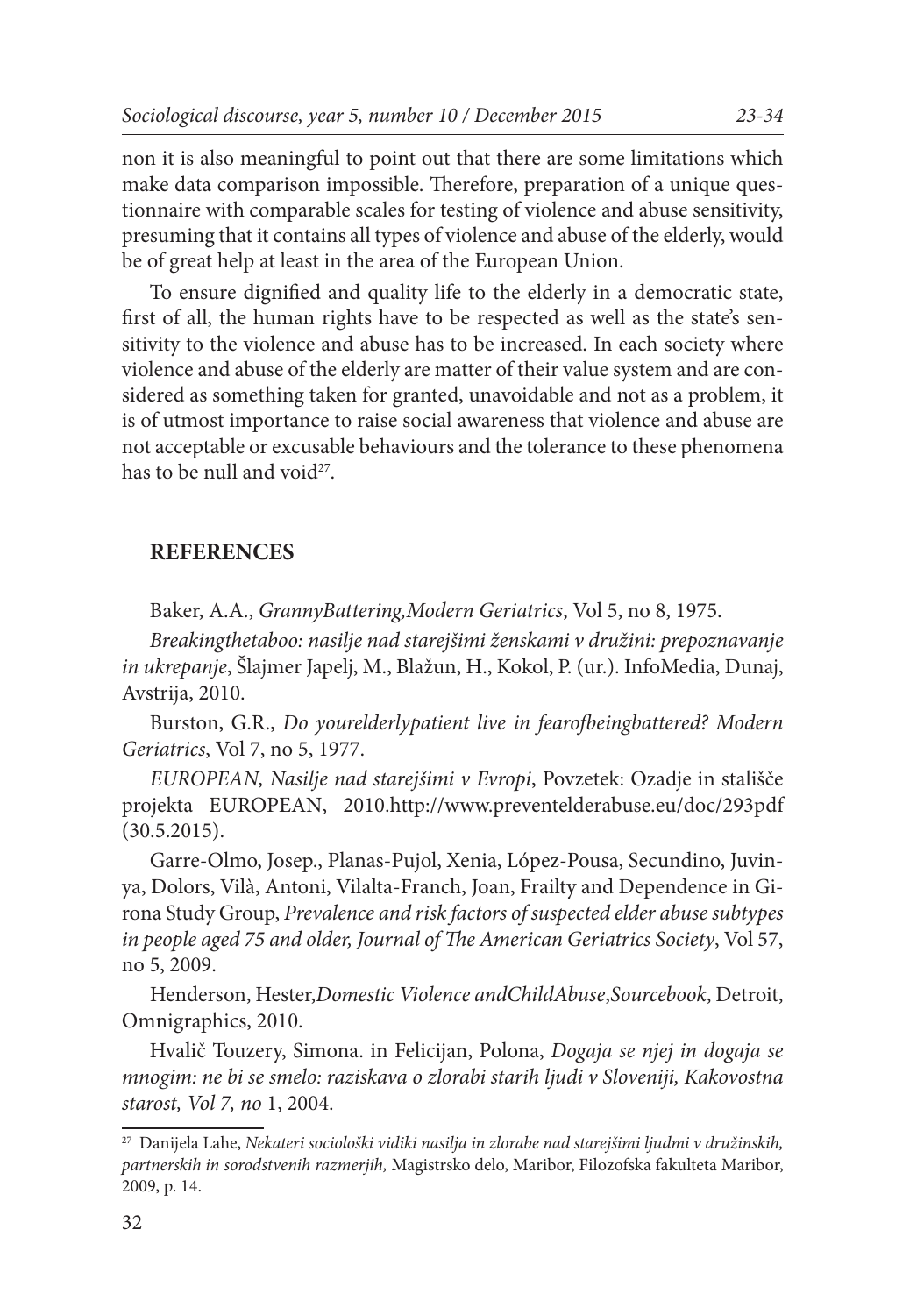non it is also meaningful to point out that there are some limitations which make data comparison impossible. Therefore, preparation of a unique questionnaire with comparable scales for testing of violence and abuse sensitivity, presuming that it contains all types of violence and abuse of the elderly, would be of great help at least in the area of the European Union.

To ensure dignified and quality life to the elderly in a democratic state, first of all, the human rights have to be respected as well as the state's sensitivity to the violence and abuse has to be increased. In each society where violence and abuse of the elderly are matter of their value system and are considered as something taken for granted, unavoidable and not as a problem, it is of utmost importance to raise social awareness that violence and abuse are not acceptable or excusable behaviours and the tolerance to these phenomena has to be null and void $2^7$ .

#### **REFERENCES**

Baker, A.A., *GrannyBattering,Modern Geriatrics*, Vol 5, no 8, 1975.

*Breakingthetaboo: nasilje nad starejšimi ženskami v družini: prepoznavanje in ukrepanje*, Šlajmer Japelj, M., Blažun, H., Kokol, P. (ur.). InfoMedia, Dunaj, Avstrija, 2010.

Burston, G.R., *Do yourelderlypatient live in fearofbeingbattered? Modern Geriatrics*, Vol 7, no 5, 1977.

*EUROPEAN, Nasilje nad starejšimi v Evropi*, Povzetek: Ozadje in stališče projekta EUROPEAN, 2010.http://www.preventelderabuse.eu/doc/293pdf (30.5.2015).

Garre-Olmo, Josep., Planas-Pujol, Xenia, López-Pousa, Secundino, Juvinya, Dolors, Vilà, Antoni, Vilalta-Franch, Joan, Frailty and Dependence in Girona Study Group, *Prevalence and risk factors of suspected elder abuse subtypes in people aged 75 and older, Journal of The American Geriatrics Society*, Vol 57, no 5, 2009.

Henderson, Hester,*Domestic Violence andChildAbuse*,*Sourcebook*, Detroit, Omnigraphics, 2010.

Hvalič Touzery, Simona. in Felicijan, Polona, *Dogaja se njej in dogaja se mnogim: ne bi se smelo: raziskava o zlorabi starih ljudi v Sloveniji, Kakovostna starost, Vol 7, no* 1, 2004.

<sup>27</sup> Danijela Lahe, *Nekateri sociološki vidiki nasilja in zlorabe nad starejšimi ljudmi v družinskih, partnerskih in sorodstvenih razmerjih,* Magistrsko delo, Maribor, Filozofska fakulteta Maribor, 2009, p. 14.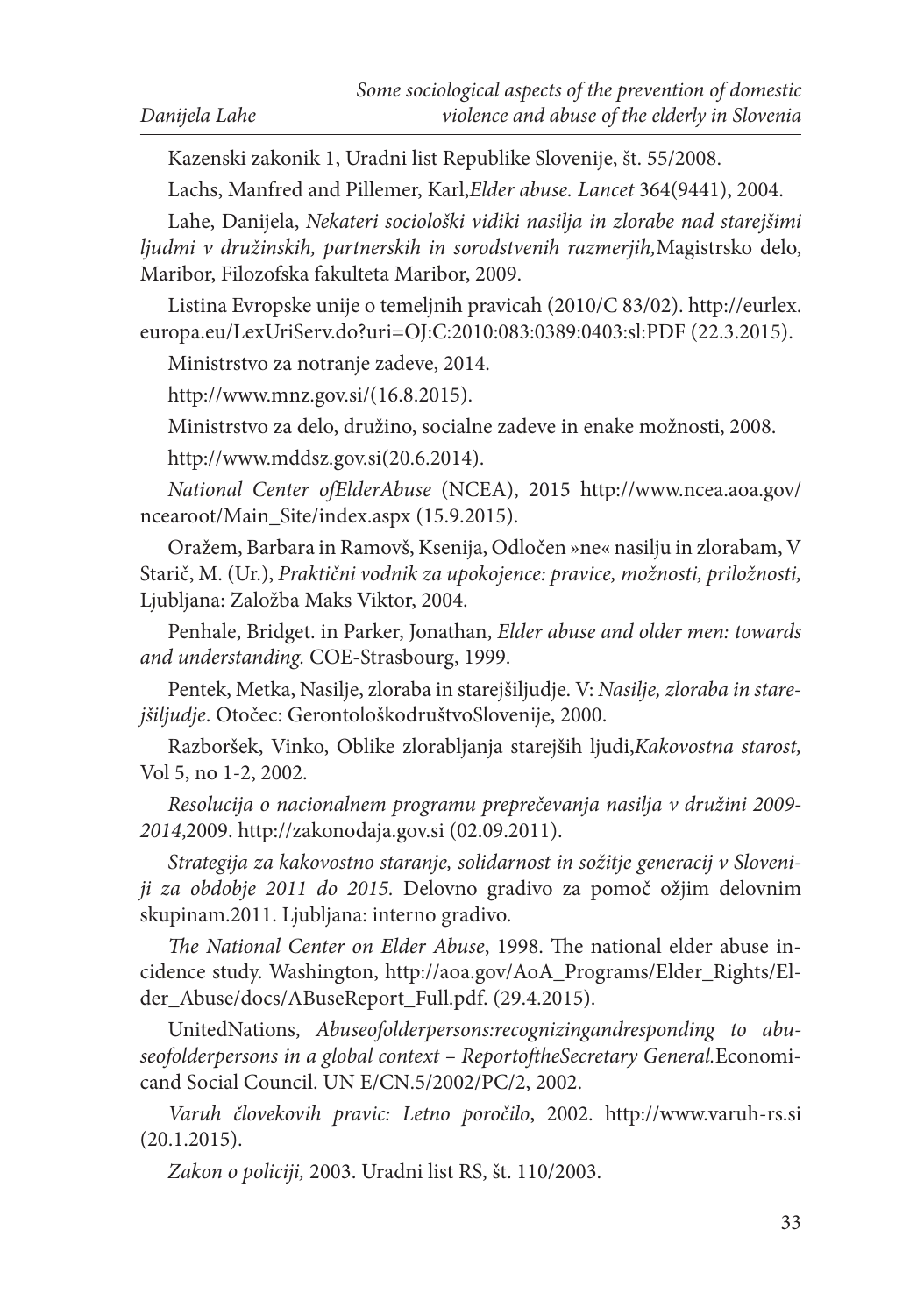Kazenski zakonik 1, Uradni list Republike Slovenije, št. 55/2008.

Lachs, Manfred and Pillemer, Karl,*Elder abuse. Lancet* 364(9441), 2004.

Lahe, Danijela, *Nekateri sociološki vidiki nasilja in zlorabe nad starejšimi ljudmi v družinskih, partnerskih in sorodstvenih razmerjih,*Magistrsko delo, Maribor, Filozofska fakulteta Maribor, 2009.

Listina Evropske unije o temeljnih pravicah (2010/C 83/02). http://eurlex. europa.eu/LexUriServ.do?uri=OJ:C:2010:083:0389:0403:sl:PDF (22.3.2015).

Ministrstvo za notranje zadeve, 2014.

http://www.mnz.gov.si/(16.8.2015).

Ministrstvo za delo, družino, socialne zadeve in enake možnosti, 2008.

http://www.mddsz.gov.si(20.6.2014).

*National Center ofElderAbuse* (NCEA), 2015 http://www.ncea.aoa.gov/ ncearoot/Main\_Site/index.aspx (15.9.2015).

Oražem, Barbara in Ramovš, Ksenija, Odločen »ne« nasilju in zlorabam, V Starič, M. (Ur.), *Praktični vodnik za upokojence: pravice, možnosti, priložnosti,* Ljubljana: Založba Maks Viktor, 2004.

Penhale, Bridget. in Parker, Jonathan, *Elder abuse and older men: towards and understanding.* COE-Strasbourg, 1999.

Pentek, Metka, Nasilje, zloraba in starejšiljudje. V: *Nasilje, zloraba in starejšiljudje*. Otočec: GerontološkodruštvoSlovenije, 2000.

Razboršek, Vinko, Oblike zlorabljanja starejših ljudi,*Kakovostna starost,*  Vol 5, no 1-2, 2002.

*Resolucija o nacionalnem programu preprečevanja nasilja v družini 2009- 2014*,2009. http://zakonodaja.gov.si (02.09.2011).

*Strategija za kakovostno staranje, solidarnost in sožitje generacij v Sloveniji za obdobje 2011 do 2015.* Delovno gradivo za pomoč ožjim delovnim skupinam.2011. Ljubljana: interno gradivo.

*The National Center on Elder Abuse*, 1998. The national elder abuse incidence study. Washington, http://aoa.gov/AoA\_Programs/Elder\_Rights/Elder\_Abuse/docs/ABuseReport\_Full.pdf. (29.4.2015).

UnitedNations, *Abuseofolderpersons:recognizingandresponding to abuseofolderpersons in a global context – ReportoftheSecretary General.*Economicand Social Council. UN E/CN.5/2002/PC/2, 2002.

*Varuh človekovih pravic: Letno poročilo*, 2002. http://www.varuh-rs.si (20.1.2015).

*Zakon o policiji,* 2003. Uradni list RS, št. 110/2003.